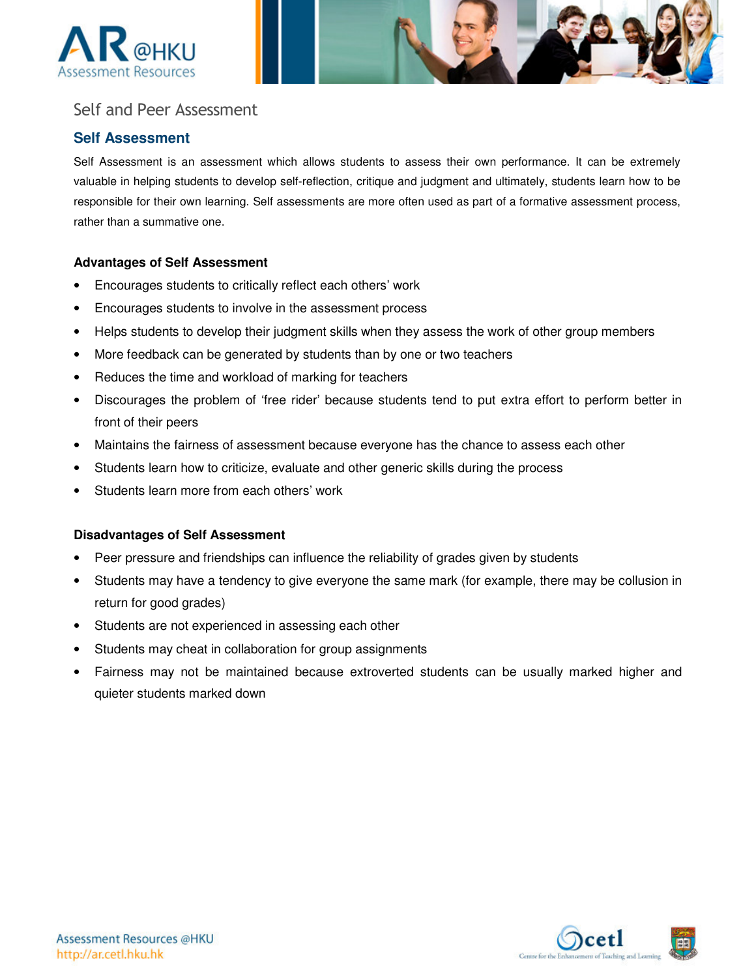



# Self and Peer Assessment

## **Self Assessment**

Self Assessment is an assessment which allows students to assess their own performance. It can be extremely valuable in helping students to develop self-reflection, critique and judgment and ultimately, students learn how to be responsible for their own learning. Self assessments are more often used as part of a formative assessment process, rather than a summative one.

#### **Advantages of Self Assessment**

- Encourages students to critically reflect each others' work
- Encourages students to involve in the assessment process
- Helps students to develop their judgment skills when they assess the work of other group members
- More feedback can be generated by students than by one or two teachers
- Reduces the time and workload of marking for teachers
- Discourages the problem of 'free rider' because students tend to put extra effort to perform better in front of their peers
- Maintains the fairness of assessment because everyone has the chance to assess each other
- Students learn how to criticize, evaluate and other generic skills during the process
- Students learn more from each others' work

#### **Disadvantages of Self Assessment**

- Peer pressure and friendships can influence the reliability of grades given by students
- Students may have a tendency to give everyone the same mark (for example, there may be collusion in return for good grades)
- Students are not experienced in assessing each other
- Students may cheat in collaboration for group assignments
- Fairness may not be maintained because extroverted students can be usually marked higher and quieter students marked down